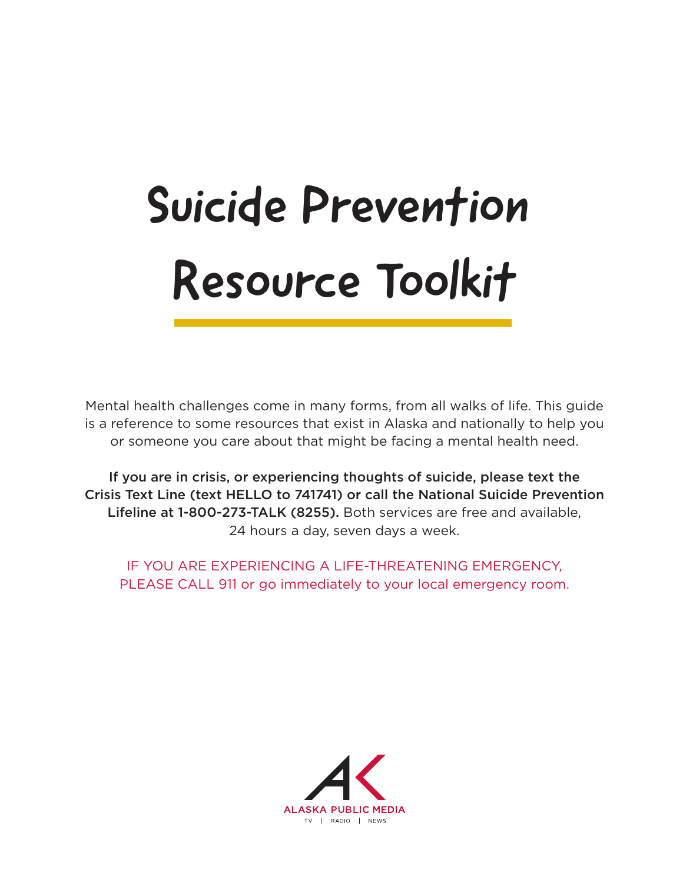# Suicide Prevention Resource Toolkit

Mental health challenges come in many forms, from all walks of life. This guide is a reference to some resources that exist in Alaska and nationally to help you or someone you care about that might be facing a mental health need.

If you are in crisis, or experiencing thoughts of suicide, please text the Crisis Text Line (text HELLO to 741741) or call the National Suicide Prevention Lifeline at 1-800-273-TALK (8255). Both services are free and available, 24 hours a day, seven days a week.

IF YOU ARE EXPERIENCING A LIFE-THREATENING EMERGENCY, PLEASE CALL 911 or go immediately to your local emergency room.

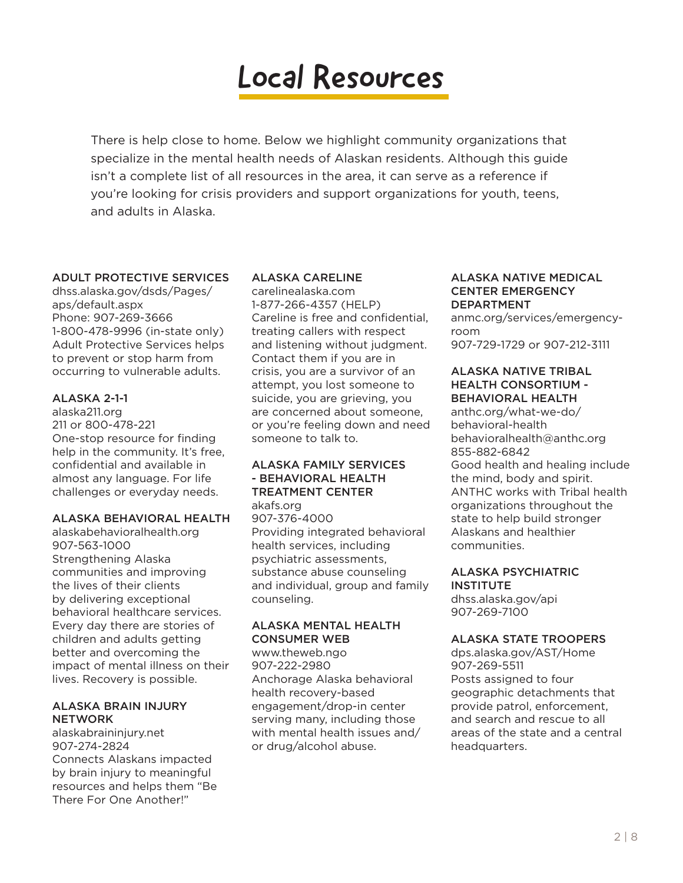# Local Resources

There is help close to home. Below we highlight community organizations that specialize in the mental health needs of Alaskan residents. Although this guide isn't a complete list of all resources in the area, it can serve as a reference if you're looking for crisis providers and support organizations for youth, teens, and adults in Alaska.

#### ADULT PROTECTIVE SERVICES

dhss.alaska.gov/dsds/Pages/ aps/default.aspx Phone: 907-269-3666 1-800-478-9996 (in-state only) Adult Protective Services helps to prevent or stop harm from occurring to vulnerable adults.

#### ALASKA 2-1-1

alaska211.org 211 or 800-478-221 One-stop resource for finding help in the community. It's free, confidential and available in almost any language. For life challenges or everyday needs.

#### ALASKA BEHAVIORAL HEALTH

alaskabehavioralhealth.org 907-563-1000 Strengthening Alaska communities and improving the lives of their clients by delivering exceptional behavioral healthcare services. Every day there are stories of children and adults getting better and overcoming the impact of mental illness on their lives. Recovery is possible.

#### ALASKA BRAIN INJURY **NETWORK**

alaskabraininjury.net 907-274-2824 Connects Alaskans impacted by brain injury to meaningful resources and helps them "Be There For One Another!"

#### ALASKA CARELINE

carelinealaska.com 1-877-266-4357 (HELP) Careline is free and confidential, treating callers with respect and listening without judgment. Contact them if you are in crisis, you are a survivor of an attempt, you lost someone to suicide, you are grieving, you are concerned about someone, or you're feeling down and need someone to talk to.

#### ALASKA FAMILY SERVICES - BEHAVIORAL HEALTH TREATMENT CENTER

akafs.org 907-376-4000 Providing integrated behavioral health services, including psychiatric assessments, substance abuse counseling and individual, group and family counseling.

#### ALASKA MENTAL HEALTH CONSUMER WEB

www.theweb.ngo 907-222-2980 Anchorage Alaska behavioral health recovery-based engagement/drop-in center serving many, including those with mental health issues and/ or drug/alcohol abuse.

#### ALASKA NATIVE MEDICAL CENTER EMERGENCY DEPARTMENT

anmc.org/services/emergencyroom 907-729-1729 or 907-212-3111

#### ALASKA NATIVE TRIBAL HEALTH CONSORTIUM - BEHAVIORAL HEALTH

anthc.org/what-we-do/ behavioral-health behavioralhealth@anthc.org 855-882-6842 Good health and healing include the mind, body and spirit. ANTHC works with Tribal health organizations throughout the state to help build stronger Alaskans and healthier communities.

#### ALASKA PSYCHIATRIC **INSTITUTE**

dhss.alaska.gov/api 907-269-7100

#### ALASKA STATE TROOPERS

dps.alaska.gov/AST/Home 907-269-5511 Posts assigned to four geographic detachments that provide patrol, enforcement, and search and rescue to all areas of the state and a central headquarters.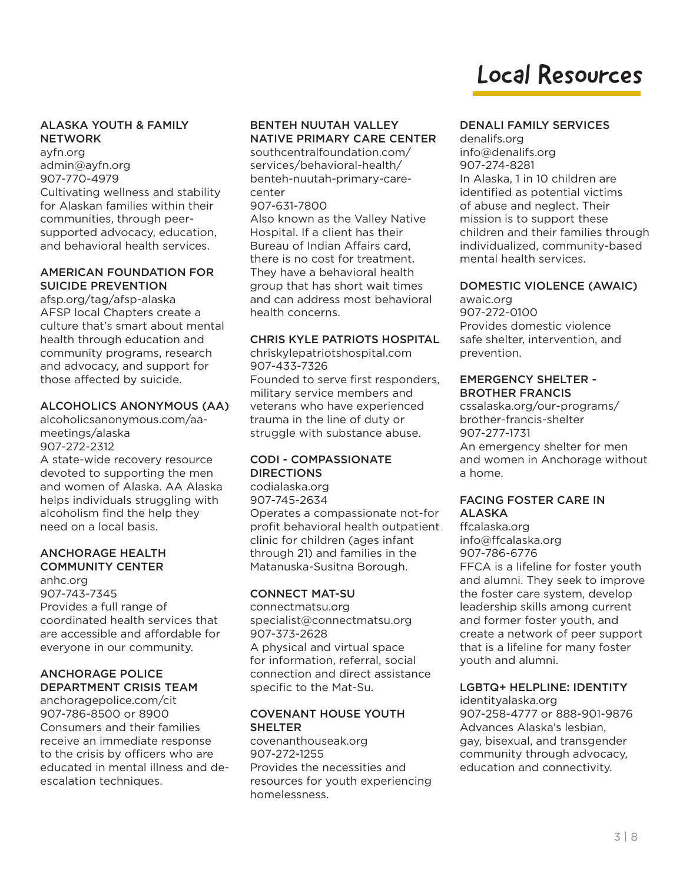# Local Resources

#### ALASKA YOUTH & FAMILY **NETWORK**

ayfn.org admin@ayfn.org 907-770-4979 Cultivating wellness and stability for Alaskan families within their communities, through peersupported advocacy, education, and behavioral health services.

#### AMERICAN FOUNDATION FOR SUICIDE PREVENTION

afsp.org/tag/afsp-alaska AFSP local Chapters create a culture that's smart about mental health through education and community programs, research and advocacy, and support for those affected by suicide.

#### ALCOHOLICS ANONYMOUS (AA)

alcoholicsanonymous.com/aameetings/alaska 907-272-2312

A state-wide recovery resource devoted to supporting the men and women of Alaska. AA Alaska helps individuals struggling with alcoholism find the help they need on a local basis.

#### ANCHORAGE HEALTH COMMUNITY CENTER

anhc.org 907-743-7345 Provides a full range of coordinated health services that are accessible and affordable for everyone in our community.

#### ANCHORAGE POLICE DEPARTMENT CRISIS TEAM

anchoragepolice.com/cit 907-786-8500 or 8900 Consumers and their families receive an immediate response to the crisis by officers who are educated in mental illness and deescalation techniques.

#### BENTEH NUUTAH VALLEY NATIVE PRIMARY CARE CENTER southcentralfoundation.com/

services/behavioral-health/ benteh-nuutah-primary-carecenter

907-631-7800

Also known as the Valley Native Hospital. If a client has their Bureau of Indian Affairs card, there is no cost for treatment. They have a behavioral health group that has short wait times and can address most behavioral health concerns.

#### CHRIS KYLE PATRIOTS HOSPITAL

chriskylepatriotshospital.com 907-433-7326 Founded to serve first responders, military service members and veterans who have experienced trauma in the line of duty or struggle with substance abuse.

#### CODI - COMPASSIONATE **DIRECTIONS**

codialaska.org 907-745-2634 Operates a compassionate not-for profit behavioral health outpatient clinic for children (ages infant through 21) and families in the Matanuska-Susitna Borough.

#### CONNECT MAT-SU

connectmatsu.org specialist@connectmatsu.org 907-373-2628 A physical and virtual space for information, referral, social connection and direct assistance specific to the Mat-Su.

#### COVENANT HOUSE YOUTH SHELTER

covenanthouseak.org 907-272-1255 Provides the necessities and resources for youth experiencing homelessness.

#### DENALI FAMILY SERVICES

denalifs.org info@denalifs.org 907-274-8281 In Alaska, 1 in 10 children are identified as potential victims of abuse and neglect. Their mission is to support these children and their families through individualized, community-based mental health services.

#### DOMESTIC VIOLENCE (AWAIC)

awaic.org 907-272-0100 Provides domestic violence safe shelter, intervention, and prevention.

#### EMERGENCY SHELTER - BROTHER FRANCIS

cssalaska.org/our-programs/ brother-francis-shelter 907-277-1731 An emergency shelter for men and women in Anchorage without a home.

#### FACING FOSTER CARE IN ALASKA

ffcalaska.org info@ffcalaska.org 907-786-6776 FFCA is a lifeline for foster youth and alumni. They seek to improve the foster care system, develop leadership skills among current and former foster youth, and create a network of peer support that is a lifeline for many foster youth and alumni.

#### LGBTQ+ HELPLINE: IDENTITY

identityalaska.org 907-258-4777 or 888-901-9876 Advances Alaska's lesbian, gay, bisexual, and transgender community through advocacy, education and connectivity.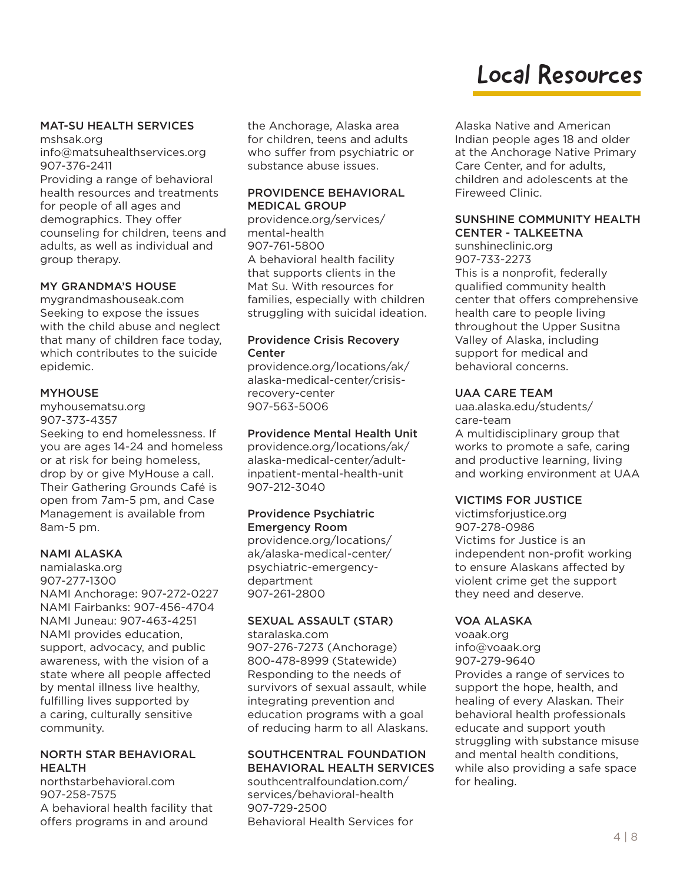### Local Resources

#### MAT-SU HEALTH SERVICES

mshsak.org info@matsuhealthservices.org 907-376-2411

Providing a range of behavioral health resources and treatments for people of all ages and demographics. They offer counseling for children, teens and adults, as well as individual and group therapy.

#### MY GRANDMA'S HOUSE

mygrandmashouseak.com Seeking to expose the issues with the child abuse and neglect that many of children face today, which contributes to the suicide epidemic.

#### MYHOUSE

myhousematsu.org 907-373-4357 Seeking to end homelessness. If you are ages 14-24 and homeless or at risk for being homeless, drop by or give MyHouse a call. Their Gathering Grounds Café is open from 7am-5 pm, and Case Management is available from 8am-5 pm.

#### NAMI ALASKA

namialaska.org 907-277-1300 NAMI Anchorage: 907-272-0227 NAMI Fairbanks: 907-456-4704 NAMI Juneau: 907-463-4251 NAMI provides education, support, advocacy, and public awareness, with the vision of a state where all people affected by mental illness live healthy, fulfilling lives supported by a caring, culturally sensitive community.

#### NORTH STAR BEHAVIORAL HEALTH

northstarbehavioral.com 907-258-7575 A behavioral health facility that offers programs in and around

the Anchorage, Alaska area for children, teens and adults who suffer from psychiatric or substance abuse issues.

#### PROVIDENCE BEHAVIORAL MEDICAL GROUP

providence.org/services/ mental-health 907-761-5800 A behavioral health facility that supports clients in the Mat Su. With resources for families, especially with children struggling with suicidal ideation.

#### Providence Crisis Recovery **Center**

providence.org/locations/ak/ alaska-medical-center/crisisrecovery-center 907-563-5006

#### Providence Mental Health Unit

providence.org/locations/ak/ alaska-medical-center/adultinpatient-mental-health-unit 907-212-3040

#### Providence Psychiatric Emergency Room

providence.org/locations/ ak/alaska-medical-center/ psychiatric-emergencydepartment 907-261-2800

#### SEXUAL ASSAULT (STAR)

staralaska.com 907-276-7273 (Anchorage) 800-478-8999 (Statewide) Responding to the needs of survivors of sexual assault, while integrating prevention and education programs with a goal of reducing harm to all Alaskans.

#### SOUTHCENTRAL FOUNDATION BEHAVIORAL HEALTH SERVICES

southcentralfoundation.com/ services/behavioral-health 907-729-2500 Behavioral Health Services for Alaska Native and American Indian people ages 18 and older at the Anchorage Native Primary Care Center, and for adults, children and adolescents at the Fireweed Clinic.

#### SUNSHINE COMMUNITY HEALTH CENTER - TALKEETNA

sunshineclinic.org 907-733-2273 This is a nonprofit, federally qualified community health center that offers comprehensive health care to people living throughout the Upper Susitna Valley of Alaska, including support for medical and behavioral concerns.

#### UAA CARE TEAM

uaa.alaska.edu/students/ care-team A multidisciplinary group that works to promote a safe, caring and productive learning, living and working environment at UAA

#### VICTIMS FOR JUSTICE

victimsforjustice.org 907-278-0986 Victims for Justice is an independent non-profit working to ensure Alaskans affected by violent crime get the support they need and deserve.

#### VOA ALASKA

voaak.org info@voaak.org 907-279-9640 Provides a range of services to support the hope, health, and healing of every Alaskan. Their behavioral health professionals educate and support youth struggling with substance misuse and mental health conditions, while also providing a safe space for healing.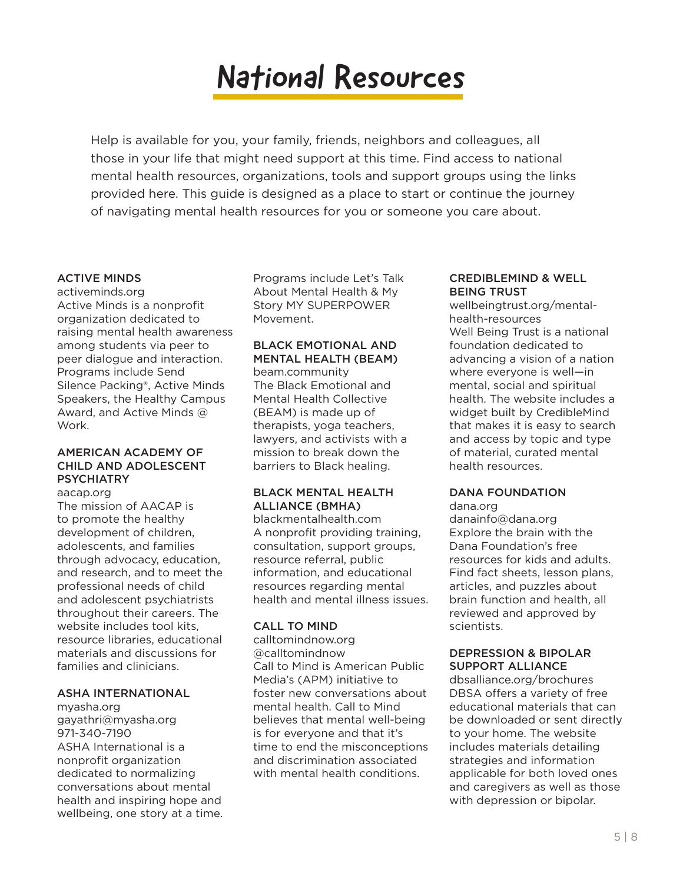Help is available for you, your family, friends, neighbors and colleagues, all those in your life that might need support at this time. Find access to national mental health resources, organizations, tools and support groups using the links provided here. This guide is designed as a place to start or continue the journey of navigating mental health resources for you or someone you care about.

#### ACTIVE MINDS

activeminds.org Active Minds is a nonprofit organization dedicated to raising mental health awareness among students via peer to peer dialogue and interaction. Programs include Send Silence Packing®, Active Minds Speakers, the Healthy Campus Award, and Active Minds @ Work.

#### AMERICAN ACADEMY OF CHILD AND ADOLESCENT **PSYCHIATRY**

aacap.org The mission of AACAP is to promote the healthy development of children, adolescents, and families through advocacy, education, and research, and to meet the professional needs of child and adolescent psychiatrists throughout their careers. The website includes tool kits, resource libraries, educational materials and discussions for families and clinicians.

#### ASHA INTERNATIONAL

myasha.org gayathri@myasha.org 971-340-7190 ASHA International is a nonprofit organization dedicated to normalizing conversations about mental health and inspiring hope and wellbeing, one story at a time. Programs include Let's Talk About Mental Health & My Story MY SUPERPOWER Movement.

#### BLACK EMOTIONAL AND MENTAL HEALTH (BEAM)

beam.community The Black Emotional and Mental Health Collective (BEAM) is made up of therapists, yoga teachers, lawyers, and activists with a mission to break down the barriers to Black healing.

#### BLACK MENTAL HEALTH ALLIANCE (BMHA)

blackmentalhealth.com A nonprofit providing training, consultation, support groups, resource referral, public information, and educational resources regarding mental health and mental illness issues.

#### CALL TO MIND

calltomindnow.org @calltomindnow Call to Mind is American Public Media's (APM) initiative to foster new conversations about mental health. Call to Mind believes that mental well-being is for everyone and that it's time to end the misconceptions and discrimination associated with mental health conditions.

#### CREDIBLEMIND & WELL BEING TRUST

wellbeingtrust.org/mentalhealth-resources Well Being Trust is a national foundation dedicated to advancing a vision of a nation where everyone is well—in mental, social and spiritual health. The website includes a widget built by CredibleMind that makes it is easy to search and access by topic and type of material, curated mental health resources.

#### DANA FOUNDATION

dana.org danainfo@dana.org Explore the brain with the Dana Foundation's free resources for kids and adults. Find fact sheets, lesson plans, articles, and puzzles about brain function and health, all reviewed and approved by scientists.

#### DEPRESSION & BIPOLAR SUPPORT ALLIANCE

dbsalliance.org/brochures DBSA offers a variety of free educational materials that can be downloaded or sent directly to your home. The website includes materials detailing strategies and information applicable for both loved ones and caregivers as well as those with depression or bipolar.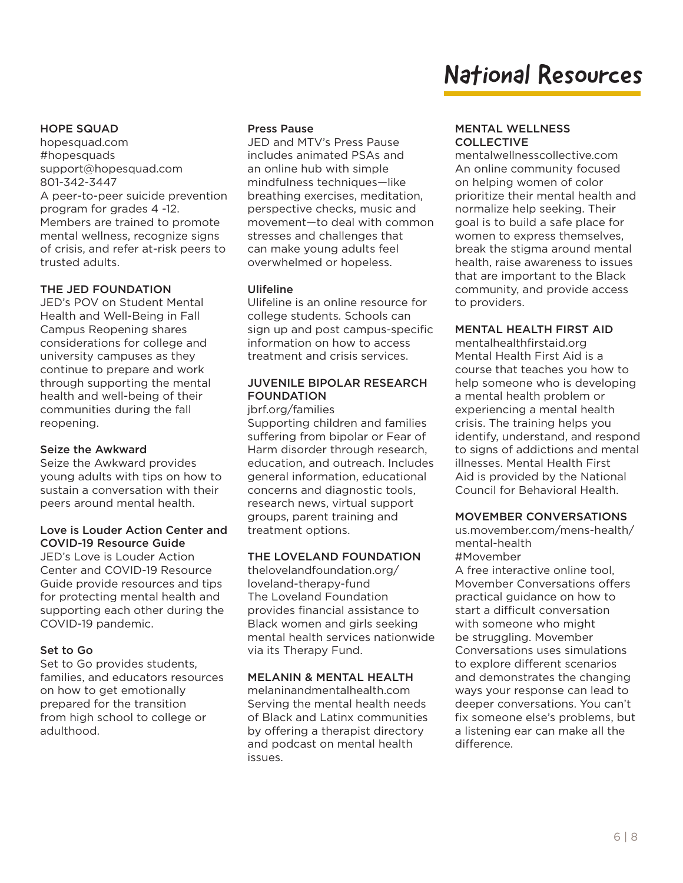#### HOPE SQUAD

hopesquad.com #hopesquads support@hopesquad.com 801-342-3447 A peer-to-peer suicide prevention program for grades 4 -12. Members are trained to promote mental wellness, recognize signs of crisis, and refer at-risk peers to trusted adults.

#### THE JED FOUNDATION

JED's POV on Student Mental Health and Well-Being in Fall Campus Reopening shares considerations for college and university campuses as they continue to prepare and work through supporting the mental health and well-being of their communities during the fall reopening.

#### Seize the Awkward

Seize the Awkward provides young adults with tips on how to sustain a conversation with their peers around mental health.

#### Love is Louder Action Center and COVID-19 Resource Guide

JED's Love is Louder Action Center and COVID-19 Resource Guide provide resources and tips for protecting mental health and supporting each other during the COVID-19 pandemic.

#### Set to Go

Set to Go provides students, families, and educators resources on how to get emotionally prepared for the transition from high school to college or adulthood.

#### Press Pause

JED and MTV's Press Pause includes animated PSAs and an online hub with simple mindfulness techniques—like breathing exercises, meditation, perspective checks, music and movement—to deal with common stresses and challenges that can make young adults feel overwhelmed or hopeless.

#### Ulifeline

Ulifeline is an online resource for college students. Schools can sign up and post campus-specific information on how to access treatment and crisis services.

#### JUVENILE BIPOLAR RESEARCH FOUNDATION

jbrf.org/families

Supporting children and families suffering from bipolar or Fear of Harm disorder through research, education, and outreach. Includes general information, educational concerns and diagnostic tools, research news, virtual support groups, parent training and treatment options.

#### THE LOVELAND FOUNDATION

thelovelandfoundation.org/ loveland-therapy-fund The Loveland Foundation provides financial assistance to Black women and girls seeking mental health services nationwide via its Therapy Fund.

#### MELANIN & MENTAL HEALTH

melaninandmentalhealth.com Serving the mental health needs of Black and Latinx communities by offering a therapist directory and podcast on mental health issues.

#### MENTAL WELLNESS COLLECTIVE

mentalwellnesscollective.com An online community focused on helping women of color prioritize their mental health and normalize help seeking. Their goal is to build a safe place for women to express themselves, break the stigma around mental health, raise awareness to issues that are important to the Black community, and provide access to providers.

#### MENTAL HEALTH FIRST AID

mentalhealthfirstaid.org Mental Health First Aid is a course that teaches you how to help someone who is developing a mental health problem or experiencing a mental health crisis. The training helps you identify, understand, and respond to signs of addictions and mental illnesses. Mental Health First Aid is provided by the National Council for Behavioral Health.

#### MOVEMBER CONVERSATIONS

us.movember.com/mens-health/ mental-health #Movember

A free interactive online tool, Movember Conversations offers practical guidance on how to start a difficult conversation with someone who might be struggling. Movember Conversations uses simulations to explore different scenarios and demonstrates the changing ways your response can lead to deeper conversations. You can't fix someone else's problems, but a listening ear can make all the difference.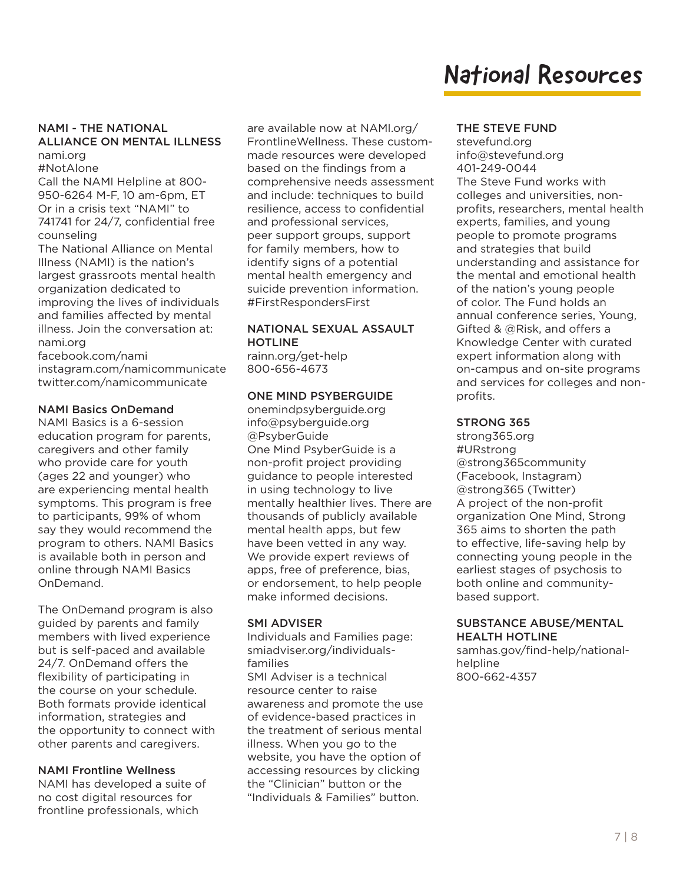#### NAMI - THE NATIONAL ALLIANCE ON MENTAL ILLNESS nami.org

#NotAlone

Call the NAMI Helpline at 800- 950-6264 M-F, 10 am-6pm, ET Or in a crisis text "NAMI" to 741741 for 24/7, confidential free counseling

The National Alliance on Mental Illness (NAMI) is the nation's largest grassroots mental health organization dedicated to improving the lives of individuals and families affected by mental illness. Join the conversation at: nami.org

facebook.com/nami instagram.com/namicommunicate twitter.com/namicommunicate

#### NAMI Basics OnDemand

NAMI Basics is a 6-session education program for parents, caregivers and other family who provide care for youth (ages 22 and younger) who are experiencing mental health symptoms. This program is free to participants, 99% of whom say they would recommend the program to others. NAMI Basics is available both in person and online through NAMI Basics OnDemand.

The OnDemand program is also guided by parents and family members with lived experience but is self-paced and available 24/7. OnDemand offers the flexibility of participating in the course on your schedule. Both formats provide identical information, strategies and the opportunity to connect with other parents and caregivers.

#### NAMI Frontline Wellness

NAMI has developed a suite of no cost digital resources for frontline professionals, which

are available now at NAMI.org/ FrontlineWellness. These custommade resources were developed based on the findings from a comprehensive needs assessment and include: techniques to build resilience, access to confidential and professional services, peer support groups, support for family members, how to identify signs of a potential mental health emergency and suicide prevention information. #FirstRespondersFirst

#### NATIONAL SEXUAL ASSAULT HOTLINE

rainn.org/get-help 800-656-4673

#### ONE MIND PSYBERGUIDE

onemindpsyberguide.org info@psyberguide.org @PsyberGuide One Mind PsyberGuide is a non-profit project providing guidance to people interested in using technology to live mentally healthier lives. There are thousands of publicly available mental health apps, but few have been vetted in any way. We provide expert reviews of apps, free of preference, bias, or endorsement, to help people make informed decisions.

#### SMI ADVISER

Individuals and Families page: smiadviser.org/individualsfamilies SMI Adviser is a technical resource center to raise awareness and promote the use of evidence-based practices in the treatment of serious mental illness. When you go to the website, you have the option of accessing resources by clicking the "Clinician" button or the "Individuals & Families" button.

#### THE STEVE FUND

stevefund.org info@stevefund.org 401-249-0044 The Steve Fund works with colleges and universities, nonprofits, researchers, mental health experts, families, and young people to promote programs and strategies that build understanding and assistance for the mental and emotional health of the nation's young people of color. The Fund holds an annual conference series, Young, Gifted & @Risk, and offers a Knowledge Center with curated expert information along with on-campus and on-site programs and services for colleges and nonprofits.

#### STRONG 365

strong365.org #URstrong @strong365community (Facebook, Instagram) @strong365 (Twitter) A project of the non-profit organization One Mind, Strong 365 aims to shorten the path to effective, life-saving help by connecting young people in the earliest stages of psychosis to both online and communitybased support.

#### SUBSTANCE ABUSE/MENTAL HEALTH HOTLINE

samhas.gov/find-help/nationalhelpline 800-662-4357